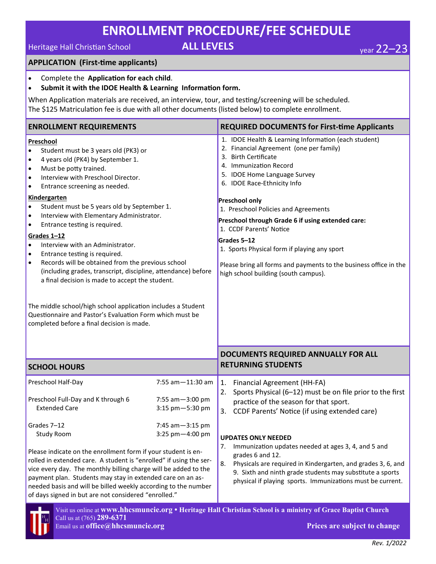## **ENROLLMENT PROCEDURE/FEE SCHEDULE**

## Heritage Hall Christian School **ALL LEVELS** year 22–23

#### **APPLICATION (First-time applicants)**

- Complete the **Application for each child**.
- **Submit it with the IDOE Health & Learning Information form.**

When Application materials are received, an interview, tour, and testing/screening will be scheduled. The \$125 Matriculation fee is due with all other documents (listed below) to complete enrollment.

| <b>ENROLLMENT REQUIREMENTS</b>                                                                                                                                                                                                                                                                                                                                                                                                                                                                                                                                                                                                                                                                                                                                                                                                                                                                                      |                                                            | <b>REQUIRED DOCUMENTS for First-time Applicants</b>                                                                                                                                                                                                                                                                                                                                                                                                                                                                                           |  |  |
|---------------------------------------------------------------------------------------------------------------------------------------------------------------------------------------------------------------------------------------------------------------------------------------------------------------------------------------------------------------------------------------------------------------------------------------------------------------------------------------------------------------------------------------------------------------------------------------------------------------------------------------------------------------------------------------------------------------------------------------------------------------------------------------------------------------------------------------------------------------------------------------------------------------------|------------------------------------------------------------|-----------------------------------------------------------------------------------------------------------------------------------------------------------------------------------------------------------------------------------------------------------------------------------------------------------------------------------------------------------------------------------------------------------------------------------------------------------------------------------------------------------------------------------------------|--|--|
| Preschool<br>Student must be 3 years old (PK3) or<br>4 years old (PK4) by September 1.<br>$\bullet$<br>Must be potty trained.<br>$\bullet$<br>Interview with Preschool Director.<br>$\bullet$<br>Entrance screening as needed.<br>$\bullet$<br><b>Kindergarten</b><br>Student must be 5 years old by September 1.<br>$\bullet$<br>Interview with Elementary Administrator.<br>$\bullet$<br>Entrance testing is required.<br>$\bullet$<br>Grades 1-12<br>Interview with an Administrator.<br>$\bullet$<br>Entrance testing is required.<br>$\bullet$<br>Records will be obtained from the previous school<br>$\bullet$<br>(including grades, transcript, discipline, attendance) before<br>a final decision is made to accept the student.<br>The middle school/high school application includes a Student<br>Questionnaire and Pastor's Evaluation Form which must be<br>completed before a final decision is made. |                                                            | 1. IDOE Health & Learning Information (each student)<br>2. Financial Agreement (one per family)<br>3. Birth Certificate<br>4. Immunization Record<br>5. IDOE Home Language Survey<br>6. IDOE Race-Ethnicity Info<br><b>Preschool only</b><br>1. Preschool Policies and Agreements<br>Preschool through Grade 6 if using extended care:<br>1. CCDF Parents' Notice<br>Grades 5-12<br>1. Sports Physical form if playing any sport<br>Please bring all forms and payments to the business office in the<br>high school building (south campus). |  |  |
|                                                                                                                                                                                                                                                                                                                                                                                                                                                                                                                                                                                                                                                                                                                                                                                                                                                                                                                     |                                                            | DOCUMENTS REQUIRED ANNUALLY FOR ALL                                                                                                                                                                                                                                                                                                                                                                                                                                                                                                           |  |  |
| <b>SCHOOL HOURS</b>                                                                                                                                                                                                                                                                                                                                                                                                                                                                                                                                                                                                                                                                                                                                                                                                                                                                                                 |                                                            | <b>RETURNING STUDENTS</b>                                                                                                                                                                                                                                                                                                                                                                                                                                                                                                                     |  |  |
| Preschool Half-Day<br>Preschool Full-Day and K through 6<br><b>Extended Care</b><br>Grades 7-12                                                                                                                                                                                                                                                                                                                                                                                                                                                                                                                                                                                                                                                                                                                                                                                                                     | 7:55 am - 11:30 am<br>7:55 am - 3:00 pm<br>3:15 pm-5:30 pm | 1.<br>Financial Agreement (HH-FA)<br>2. Sports Physical (6-12) must be on file prior to the first<br>practice of the season for that sport.<br>3. CCDF Parents' Notice (if using extended care)                                                                                                                                                                                                                                                                                                                                               |  |  |
| 7:45 am-3:15 pm<br>3:25 pm-4:00 pm<br><b>Study Room</b><br>Please indicate on the enrollment form if your student is en-<br>rolled in extended care. A student is "enrolled" if using the ser-<br>vice every day. The monthly billing charge will be added to the<br>payment plan. Students may stay in extended care on an as-<br>needed basis and will be billed weekly according to the number<br>of days signed in but are not considered "enrolled."                                                                                                                                                                                                                                                                                                                                                                                                                                                           |                                                            | <b>UPDATES ONLY NEEDED</b><br>7.<br>Immunization updates needed at ages 3, 4, and 5 and<br>grades 6 and 12.<br>8.<br>Physicals are required in Kindergarten, and grades 3, 6, and<br>9. Sixth and ninth grade students may substitute a sports<br>physical if playing sports. Immunizations must be current.                                                                                                                                                                                                                                  |  |  |